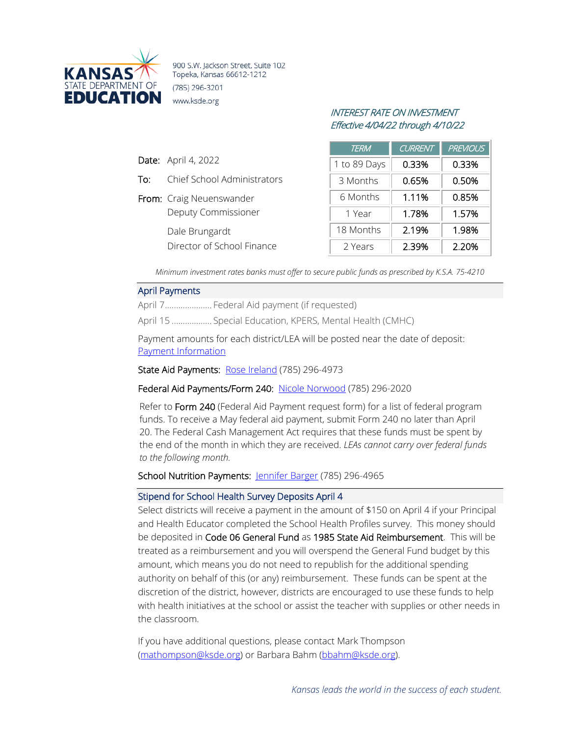

900 S.W. Jackson Street, Suite 102 Topeka, Kansas 66612-1212 (785) 296-3201 www.ksde.org

# INTEREST RATE ON INVESTMENT Effective 4/04/22 through 4/10/22

|   | <b>TERM</b>  | <b>CURRENT</b> | <b>PREVIOUS</b> |
|---|--------------|----------------|-----------------|
|   | 1 to 89 Days | 0.33%          | 0.33%           |
| S | 3 Months     | 0.65%          | 0.50%           |
|   | 6 Months     | 1.11%          | 0.85%           |
|   | 1 Year       | 1.78%          | 1.57%           |
|   | 18 Months    | 2.19%          | 1.98%           |
|   | 2 Years      | 2.39%          | 2.20%           |

*Minimum investment rates banks must offer to secure public funds as prescribed by K.S.A. 75-4210*

#### April Payments

Date: April 4, 2022

To: Chief School Administrator

Deputy Commissioner

Director of School Finance

From: Craig Neuenswander

Dale Brungardt

April 7..................... Federal Aid payment (if requested)

April 15 .................. Special Education, KPERS, Mental Health (CMHC)

Payment amounts for each district/LEA will be posted near the date of deposit: [Payment Information](http://www.ksde.org/Agency/Fiscal-and-Administrative-Services/School-Finance/Payment-Information)

State Aid Payments: [Rose Ireland](mailto:rireland@ksde.org) (785) 296-4973

#### Federal Aid Payments/Form 240: [Nicole Norwood](mailto:nnorwood@ksde.org) (785) 296-2020

Refer to Form 240 (Federal Aid Payment request form) for a list of federal program funds. To receive a May federal aid payment, submit Form 240 no later than April 20. The Federal Cash Management Act requires that these funds must be spent by the end of the month in which they are received. *LEAs cannot carry over federal funds to the following month.*

### School Nutrition Payments: [Jennifer Barger](mailto:jbarger@ksde.org) (785) 296-4965

#### Stipend for School Health Survey Deposits April 4

Select districts will receive a payment in the amount of \$150 on April 4 if your Principal and Health Educator completed the School Health Profiles survey. This money should be deposited in Code 06 General Fund as 1985 State Aid Reimbursement. This will be treated as a reimbursement and you will overspend the General Fund budget by this amount, which means you do not need to republish for the additional spending authority on behalf of this (or any) reimbursement. These funds can be spent at the discretion of the district, however, districts are encouraged to use these funds to help with health initiatives at the school or assist the teacher with supplies or other needs in the classroom.

If you have additional questions, please contact Mark Thompson [\(mathompson@ksde.org\)](mailto:mathompson@ksde.org) or Barbara Bahm [\(bbahm@ksde.org\)](mailto:bbahm@ksde.org).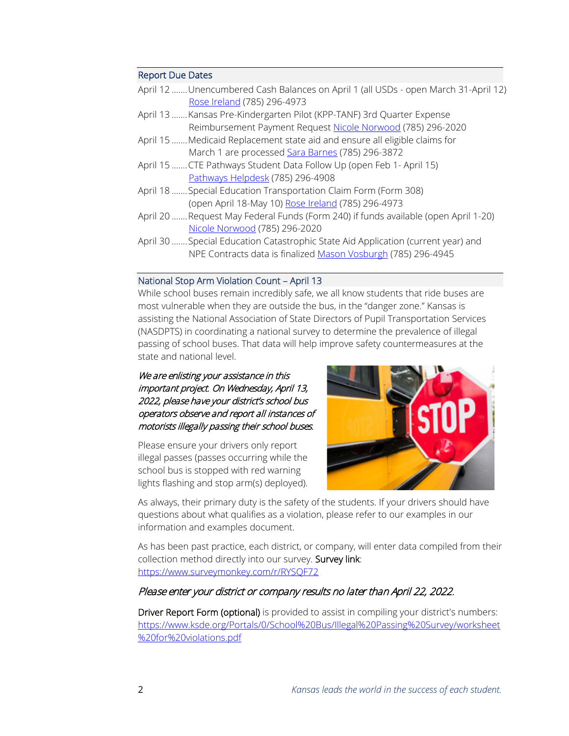### Report Due Dates

|                                    | April 12  Unencumbered Cash Balances on April 1 (all USDs - open March 31-April 12) |
|------------------------------------|-------------------------------------------------------------------------------------|
| <u>Rose Ireland</u> (785) 296-4973 |                                                                                     |

- April 13 .......Kansas Pre-Kindergarten Pilot (KPP-TANF) 3rd Quarter Expense Reimbursement Payment Request [Nicole Norwood](mailto:nnorwood@ksde.org) (785) 296-2020
- April 15 .......Medicaid Replacement state aid and ensure all eligible claims for March 1 are processed [Sara Barnes](mailto:sbarnes@ksde.org) (785) 296-3872
- April 15 .......CTE Pathways Student Data Follow Up (open Feb 1- April 15) [Pathways Helpdesk](mailto:PathwaysHelpDesk@ksde.org) (785) 296-4908
- April 18 .......Special Education Transportation Claim Form (Form 308) (open April 18-May 10) [Rose Ireland](mailto:rireland@ksde.org) (785) 296-4973
- April 20 .......Request May Federal Funds (Form 240) if funds available (open April 1-20) [Nicole Norwood](mailto:nnorwood@ksde.org) (785) 296-2020
- April 30 .......Special Education Catastrophic State Aid Application (current year) and NPE Contracts data is finalize[d Mason Vosburgh](mailto:mvosburgh@ksde.org) (785) 296-4945

### National Stop Arm Violation Count – April 13

While school buses remain incredibly safe, we all know students that ride buses are most vulnerable when they are outside the bus, in the "danger zone." Kansas is assisting the National Association of State Directors of Pupil Transportation Services (NASDPTS) in coordinating a national survey to determine the prevalence of illegal passing of school buses. That data will help improve safety countermeasures at the state and national level.

## We are enlisting your assistance in this important project. On Wednesday, April 13, 2022, please have your district's school bus operators observe and report all instances of motorists illegally passing their school buses.

Please ensure your drivers only report illegal passes (passes occurring while the school bus is stopped with red warning lights flashing and stop arm(s) deployed).



As always, their primary duty is the safety of the students. If your drivers should have questions about what qualifies as a violation, please refer to our examples in our information and examples document.

As has been past practice, each district, or company, will enter data compiled from their collection method directly into our survey. Survey link: <https://www.surveymonkey.com/r/RYSQF72>

# Please enter your district or company results no later than April 22, 2022.

Driver Report Form (optional) is provided to assist in compiling your district's numbers: [https://www.ksde.org/Portals/0/School%20Bus/Illegal%20Passing%20Survey/worksheet](https://www.ksde.org/Portals/0/School%20Bus/Illegal%20Passing%20Survey/worksheet%20for%20violations.pdf) [%20for%20violations.pdf](https://www.ksde.org/Portals/0/School%20Bus/Illegal%20Passing%20Survey/worksheet%20for%20violations.pdf)